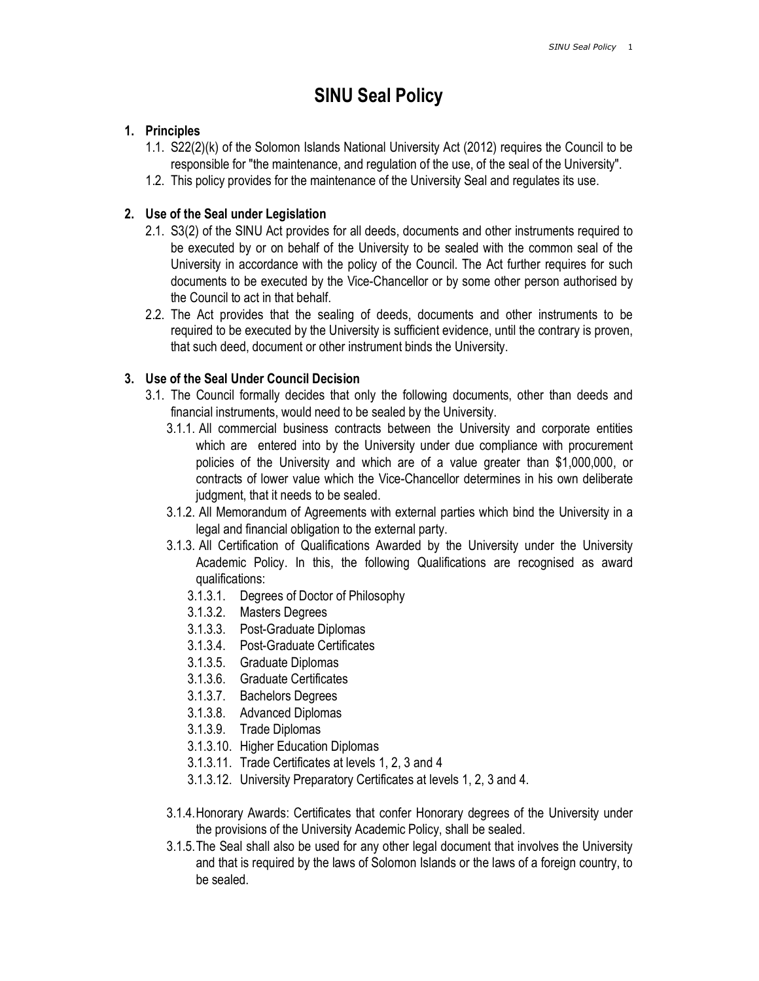# SINU Seal Policy

## 1. Principles

- 1.1. S22(2)(k) of the Solomon Islands National University Act (2012) requires the Council to be responsible for "the maintenance, and regulation of the use, of the seal of the University".
- 1.2. This policy provides for the maintenance of the University Seal and regulates its use.

## 2. Use of the Seal under Legislation

- 2.1. S3(2) of the SINU Act provides for all deeds, documents and other instruments required to be executed by or on behalf of the University to be sealed with the common seal of the University in accordance with the policy of the Council. The Act further requires for such documents to be executed by the Vice-Chancellor or by some other person authorised by the Council to act in that behalf.
- 2.2. The Act provides that the sealing of deeds, documents and other instruments to be required to be executed by the University is sufficient evidence, until the contrary is proven, that such deed, document or other instrument binds the University.

## 3. Use of the Seal Under Council Decision

- 3.1. The Council formally decides that only the following documents, other than deeds and financial instruments, would need to be sealed by the University.
	- 3.1.1. All commercial business contracts between the University and corporate entities which are entered into by the University under due compliance with procurement policies of the University and which are of a value greater than \$1,000,000, or contracts of lower value which the Vice-Chancellor determines in his own deliberate judgment, that it needs to be sealed.
	- 3.1.2. All Memorandum of Agreements with external parties which bind the University in a legal and financial obligation to the external party.
	- 3.1.3. All Certification of Qualifications Awarded by the University under the University Academic Policy. In this, the following Qualifications are recognised as award qualifications:
		- 3.1.3.1. Degrees of Doctor of Philosophy
		- 3.1.3.2. Masters Degrees
		- 3.1.3.3. Post-Graduate Diplomas
		- 3.1.3.4. Post-Graduate Certificates
		- 3.1.3.5. Graduate Diplomas
		- 3.1.3.6. Graduate Certificates
		- 3.1.3.7. Bachelors Degrees
		- 3.1.3.8. Advanced Diplomas
		- 3.1.3.9. Trade Diplomas
		- 3.1.3.10. Higher Education Diplomas
		- 3.1.3.11. Trade Certificates at levels 1, 2, 3 and 4
		- 3.1.3.12. University Preparatory Certificates at levels 1, 2, 3 and 4.
	- 3.1.4.Honorary Awards: Certificates that confer Honorary degrees of the University under the provisions of the University Academic Policy, shall be sealed.
	- 3.1.5.The Seal shall also be used for any other legal document that involves the University and that is required by the laws of Solomon Islands or the laws of a foreign country, to be sealed.